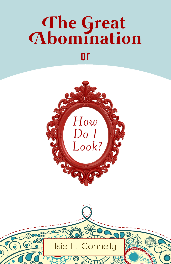# The Great<br>Abomination or



Elsie F. Connelly

0

 $\odot$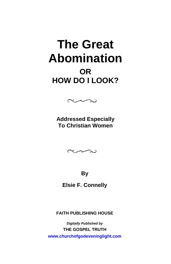## **The Great Abomination OR HOW DO I LOOK?**



**Addressed Especially To Christian Women** 



**By** 

**Elsie F. Connelly** 

**FAITH PUBLISHING HOUSE** 

*Digitally Published by*  **THE GOSPEL TRUTH <www.churchofgodeveninglight.com>**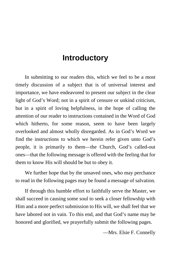## **Introductory**

In submitting to our readers this, which we feel to be a most timely discussion of a subject that is of universal interest and importance, we have endeavored to present our subject in the clear light of God's Word; not in a spirit of censure or unkind criticism, but in a spirit of loving helpfulness, in the hope of calling the attention of our reader to instructions contained in the Word of God which hitherto, for some reason, seem to have been largely overlooked and almost wholly disregarded. As in God's Word we find the instructions to which we herein refer given unto God's people, it is primarily to them—the Church, God's called-out ones—that the following message is offered with the feeling that for them to know His will should be but to obey it.

We further hope that by the unsaved ones, who may perchance to read in the following pages may be found a message of salvation.

If through this humble effort to faithfully serve the Master, we shall succeed in causing some soul to seek a closer fellowship with Him and a more perfect submission to His will, we shall feel that we have labored not in vain. To this end, and that God's name may be honored and glorified, we prayerfully submit the following pages.

—Mrs. Elsie F. Connelly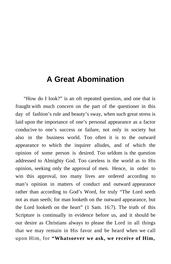## **A Great Abomination**

 "How do I look?" is an oft repeated question, and one that is fraught with much concern on the part of the questioner in this day of fashion's rule and beauty's sway, when such great stress is laid upon the importance of one's personal appearance as a factor conducive to one's success or failure, not only in society but also in the business world. Too often it is to the outward appearance to which the inquirer alludes, and of which the opinion of some person is desired. Too seldom is the question addressed to Almighty God. Too careless is the world as to His opinion, seeking only the approval of men. Hence, in order to win this approval, too many lives are ordered according to man's opinion in matters of conduct and outward appearance rather than according to God's Word, for truly "The Lord seeth not as man seeth; for man looketh on the outward appearance, but the Lord looketh on the heart" (1 Sam. 16:7). The truth of this Scripture is continually in evidence before us, and it should be our desire as Christians always to please the Lord in all things that we may remain in His favor and be heard when we call upon Him, for **"Whatsoever we ask, we receive of Him,**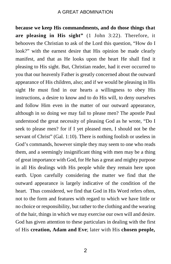**because we keep His commandments, and do those things that are pleasing in His sight"** (1 John 3:22). Therefore, it behooves the Christian to ask of the Lord this question, "How do I look?" with the earnest desire that His opinion be made clearly manifest, and that as He looks upon the heart He shall find it pleasing to His sight. But, Christian reader, had it ever occurred to you that our heavenly Father is greatly concerned about the outward appearance of His children, also; and if we would be pleasing in His sight He must find in our hearts a willingness to obey His instructions, a desire to know and to do His will, to deny ourselves and follow Him even in the matter of our outward appearance, although in so doing we may fail to please men? The apostle Paul understood the great necessity of pleasing God as he wrote, "Do I seek to please men? for if I yet pleased men, I should not be the servant of Christ" (Gal. 1:10). There is nothing foolish or useless in God's commands, however simple they may seem to one who reads them, and a seemingly insignificant thing with men may be a thing of great importance with God, for He has a great and mighty purpose in all His dealings with His people while they remain here upon earth. Upon carefully considering the matter we find that the outward appearance is largely indicative of the condition of the heart. Thus considered, we find that God in His Word refers often. not to the form and features with regard to which we have little or no choice or responsibility, but rather to the clothing and the wearing of the hair, things in which we may exercise our own will and desire. God has given attention to these particulars in dealing with the first of His **creation, Adam and Eve**; later with His **chosen people,**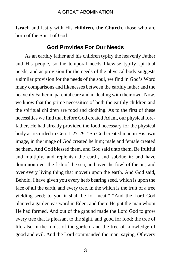**Israel**; and lastly with His **children, the Church**, those who are born of the Spirit of God.

#### **God Provides For Our Needs**

As an earthly father and his children typify the heavenly Father and His people, so the temporal needs likewise typify spiritual needs; and as provision for the needs of the physical body suggests a similar provision for the needs of the soul, we find in God's Word many comparisons and likenesses between the earthly father and the heavenly Father in parental care and in dealing with their own. Now, we know that the prime necessities of both the earthly children and the spiritual children are food and clothing. As to the first of these necessities we find that before God created Adam, our physical forefather, He had already provided the food necessary for the physical body as recorded in Gen. 1:27-29: "So God created man in His own image, in the image of God created he him; male and female created he them. And God blessed them, and God said unto them, Be fruitful and multiply, and replenish the earth, and subdue it: and have dominion over the fish of the sea, and over the fowl of the air, and over every living thing that moveth upon the earth. And God said, Behold, I have given you every herb bearing seed, which is upon the face of all the earth, and every tree, in the which is the fruit of a tree yielding seed; to you it shall be for meat." "And the Lord God planted a garden eastward in Eden; and there He put the man whom He had formed. And out of the ground made the Lord God to grow every tree that is pleasant to the sight, and good for food; the tree of life also in the midst of the garden, and the tree of knowledge of good and evil. And the Lord commanded the man, saying, Of every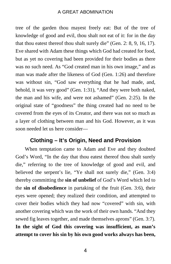tree of the garden thou mayest freely eat: But of the tree of knowledge of good and evil, thou shalt not eat of it: for in the day that thou eatest thereof thou shalt surely die" (Gen. 2: 8, 9, 16, 17). Eve shared with Adam these things which God had created for food, but as yet no covering had been provided for their bodies as there was no such need. As "God created man in his own image," and as man was made after the likeness of God (Gen. 1:26) and therefore was without sin, "God saw everything that he had made, and, behold, it was very good" (Gen. 1:31), "And they were both naked, the man and his wife, and were not ashamed" (Gen. 2:25). In the original state of "goodness" the thing created had no need to be covered from the eyes of its Creator, and there was not so much as a layer of clothing between man and his God. However, as it was soon needed let us here consider—

#### **Clothing – It's Origin, Need and Provision**

When temptation came to Adam and Eve and they doubted God's Word, "In the day that thou eatest thereof thou shalt surely die," referring to the tree of knowledge of good and evil, and believed the serpent's lie, "Ye shall not surely die," (Gen. 3:4) thereby committing the **sin of unbelief** of God's Word which led to the **sin of disobedience** in partaking of the fruit (Gen. 3:6), their eyes were opened; they realized their condition, and attempted to cover their bodies which they had now "covered" with sin, with another covering which was the work of their own hands. "And they sewed fig leaves together, and made themselves aprons" (Gen. 3:7). **In the sight of God this covering was insufficient, as man's attempt to cover his sin by his own good works always has been,** 

4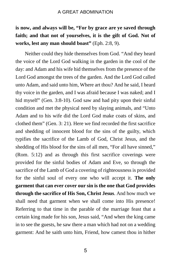## **is now, and always will be, "For by grace are ye saved through faith; and that not of yourselves, it is the gift of God. Not of works, lest any man should boast"** (Eph. 2:8, 9).

Neither could they hide themselves from God. "And they heard the voice of the Lord God walking in the garden in the cool of the day: and Adam and his wife hid themselves from the presence of the Lord God amongst the trees of the garden. And the Lord God called unto Adam, and said unto him, Where art thou? And he said, I heard thy voice in the garden, and I was afraid because I was naked; and I hid myself" (Gen. 3:8-10). God saw and had pity upon their sinful condition and met the physical need by slaying animals, and "Unto Adam and to his wife did the Lord God make coats of skins, and clothed them" (Gen. 3: 21). Here we find recorded the first sacrifice and shedding of innocent blood for the sins of the guilty, which typifies the sacrifice of the Lamb of God, Christ Jesus, and the shedding of His blood for the sins of all men, "For all have sinned," (Rom. 5:12) and as through this first sacrifice coverings were provided for the sinful bodies of Adam and Eve, so through the sacrifice of the Lamb of God a covering of righteousness is provided for the sinful soul of every one who will accept it. **The only garment that can ever cover our sin is the one that God provides through the sacrifice of His Son, Christ Jesus**. And how much we shall need that garment when we shall come into His presence! Referring to that time in the parable of the marriage feast that a certain king made for his son, Jesus said, "And when the king came in to see the guests, he saw there a man which had not on a wedding garment: And he saith unto him, Friend, how camest thou in hither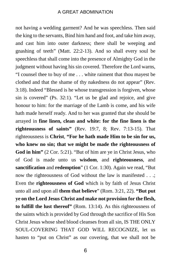not having a wedding garment? And he was speechless. Then said the king to the servants, Bind him hand and foot, and take him away, and cast him into outer darkness; there shall be weeping and gnashing of teeth" (Matt. 22:2-13). And so shall every soul be speechless that shall come into the presence of Almighty God in the judgment without having his sin covered. Therefore the Lord warns, "I counsel thee to buy of me . . . white raiment that thou mayest be clothed and that the shame of thy nakedness do not appear" (Rev. 3:18). Indeed "Blessed is he whose transgression is forgiven, whose sin is covered" (Ps. 32:1). "Let us be glad and rejoice, and give honour to him: for the marriage of the Lamb is come, and his wife hath made herself ready. And to her was granted that she should be arrayed in **fine linen, clean and white: for the fine linen is the righteousness of saints"** (Rev. 19:7, 8; Rev. 7:13-15). That righteousness is **Christ**, **"For he hath made Him to be sin for us, who knew no sin; that we might be made the righteousness of God in him"** (2 Cor. 5:21). "But of him are ye in Christ Jesus, who of God is made unto us **wisdom**, and **righteousness**, and **sanctification** and **redemption**" (1 Cor. 1:30). Again we read, "But now the righteousness of God without the law is manifested . . .; Even the **righteousness of God** which is by faith of Jesus Christ unto all and upon all **them that believe**" (Rom. 3:21, 22). **"But put ye on the Lord Jesus Christ and make not provision for the flesh, to fulfill the lust thereof"** (Rom. 13:14). As this righteousness of the saints which is provided by God through the sacrifice of His Son Christ Jesus whose shed blood cleanses from all sin, IS THE ONLY SOUL-COVERING THAT GOD WILL RECOGNIZE, let us hasten to "put on Christ" as our covering, that we shall not be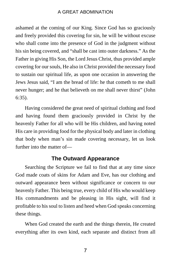ashamed at the coming of our King. Since God has so graciously and freely provided this covering for sin, he will be without excuse who shall come into the presence of God in the judgment without his sin being covered, and "shall be cast into outer darkness." As the Father in giving His Son, the Lord Jesus Christ, thus provided ample covering for our souls, He also in Christ provided the necessary food to sustain our spiritual life, as upon one occasion in answering the Jews Jesus said, "I am the bread of life: he that cometh to me shall never hunger; and he that believeth on me shall never thirst" (John 6:35).

Having considered the great need of spiritual clothing and food and having found them graciously provided in Christ by the heavenly Father for all who will be His children, and having noted His care in providing food for the physical body and later in clothing that body when man's sin made covering necessary, let us look further into the matter of—

#### **The Outward Appearance**

Searching the Scripture we fail to find that at any time since God made coats of skins for Adam and Eve, has our clothing and outward appearance been without significance or concern to our heavenly Father. This being true, every child of His who would keep His commandments and be pleasing in His sight, will find it profitable to his soul to listen and heed when God speaks concerning these things.

When God created the earth and the things therein, He created everything after its own kind, each separate and distinct from all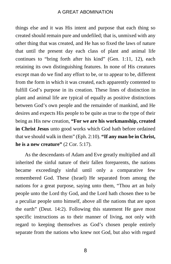things else and it was His intent and purpose that each thing so created should remain pure and undefiled; that is, unmixed with any other thing that was created, and He has so fixed the laws of nature that until the present day each class of plant and animal life continues to "bring forth after his kind" (Gen. 1:11, 12), each retaining its own distinguishing features. In none of His creatures except man do we find any effort to be, or to appear to be, different from the form in which it was created, each apparently contented to fulfill God's purpose in its creation. These lines of distinction in plant and animal life are typical of equally as positive distinctions between God's own people and the remainder of mankind, and He desires and expects His people to be quite as true to the type of their being as His new creation, **"For we are his workmanship, created in Christ Jesus** unto good works which God hath before ordained that we should walk in them" (Eph. 2:10). **"If any man be in Christ, he is a new creature"** (2 Cor. 5:17).

As the descendants of Adam and Eve greatly multiplied and all inherited the sinful nature of their fallen foreparents, the nations became exceedingly sinful until only a comparative few remembered God. These (Israel) He separated from among the nations for a great purpose, saying unto them, "Thou art an holy people unto the Lord thy God, and the Lord hath chosen thee to be a peculiar people unto himself, above all the nations that are upon the earth" (Deut. 14:2). Following this statement He gave most specific instructions as to their manner of living, not only with regard to keeping themselves as God's chosen people entirely separate from the nations who knew not God, but also with regard

8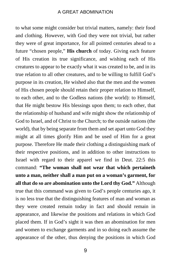to what some might consider but trivial matters, namely: their food and clothing. However, with God they were not trivial, but rather they were of great importance, for all pointed centuries ahead to a future "chosen people," **His church** of today. Giving each feature of His creation its true significance, and wishing each of His creatures to appear to be exactly what it was created to be, and in its true relation to all other creatures, and to be willing to fulfill God's purpose in its creation, He wished also that the men and the women of His chosen people should retain their proper relation to Himself, to each other, and to the Godless nations (the world): to Himself, that He might bestow His blessings upon them; to each other, that the relationship of husband and wife might show the relationship of God to Israel, and of Christ to the Church; to the outside nations (the world), that by being separate from them and set apart unto God they might at all times glorify Him and be used of Him for a great purpose. Therefore He made their clothing a distinguishing mark of their respective positions, and in addition to other instructions to Israel with regard to their apparel we find in Deut. 22:5 this command: **"The woman shall not wear that which pertaineth unto a man, neither shall a man put on a woman's garment, for all that do so are abomination unto the Lord thy God."** Although true that this command was given to God's people centuries ago, it is no less true that the distinguishing features of man and woman as they were created remain today in fact and should remain in appearance, and likewise the positions and relations in which God placed them. If in God's sight it was then an abomination for men and women to exchange garments and in so doing each assume the appearance of the other, thus denying the positions in which God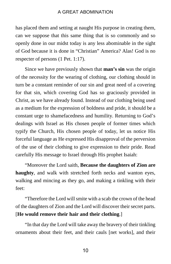has placed them and setting at naught His purpose in creating them, can we suppose that this same thing that is so commonly and so openly done in our midst today is any less abominable in the sight of God because it is done in "Christian" America? Alas! God is no respecter of persons (1 Pet. 1:17).

Since we have previously shown that **man's sin** was the origin of the necessity for the wearing of clothing, our clothing should in turn be a constant reminder of our sin and great need of a covering for that sin, which covering God has so graciously provided in Christ, as we have already found. Instead of our clothing being used as a medium for the expression of boldness and pride, it should be a constant urge to shamefacedness and humility. Returning to God's dealings with Israel as His chosen people of former times which typify the Church, His chosen people of today, let us notice His forceful language as He expressed His disapproval of the perversion of the use of their clothing to give expression to their pride. Read carefully His message to Israel through His prophet Isaiah:

"Moreover the Lord saith, **Because the daughters of Zion are haughty**, and walk with stretched forth necks and wanton eyes, walking and mincing as they go, and making a tinkling with their feet:

"Therefore the Lord will smite with a scab the crown of the head of the daughters of Zion and the Lord will discover their secret parts. [**He would remove their hair and their clothing**.]

"In that day the Lord will take away the bravery of their tinkling ornaments about their feet, and their cauls [net works], and their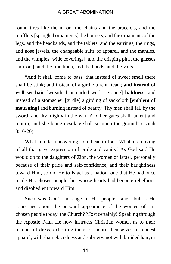round tires like the moon, the chains and the bracelets, and the mufflers [spangled ornaments] the bonnets, and the ornaments of the legs, and the headbands, and the tablets, and the earrings, the rings, and nose jewels, the changeable suits of apparel, and the mantles, and the wimples [wide coverings], and the crisping pins, the glasses [mirrors], and the fine linen, and the hoods, and the vails.

"And it shall come to pass, that instead of sweet smell there shall be stink; and instead of a girdle a rent [tear]; **and instead of well set hair** [wreathed or curled work—Young] **baldness**; and instead of a stomacher [girdle] a girding of sackcloth [**emblem of mourning**] and burning instead of beauty. Thy men shall fall by the sword, and thy mighty in the war. And her gates shall lament and mourn; and she being desolate shall sit upon the ground" (Isaiah 3:16-26).

What an utter uncovering from head to foot! What a removing of all that gave expression of pride and vanity! As God said He would do to the daughters of Zion, the women of Israel, personally because of their pride and self-confidence, and their haughtiness toward Him, so did He to Israel as a nation, one that He had once made His chosen people, but whose hearts had become rebellious and disobedient toward Him.

Such was God's message to His people Israel, but is He concerned about the outward appearance of the women of His chosen people today, the Church? Most certainly! Speaking through the Apostle Paul, He now instructs Christian women as to their manner of dress, exhorting them to "adorn themselves in modest apparel, with shamefacedness and sobriety; not with broided hair, or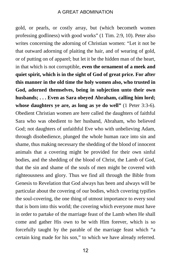gold, or pearls, or costly array, but (which becometh women professing godliness) with good works" (1 Tim. 2:9, 10). Peter also writes concerning the adorning of Christian women: "Let it not be that outward adorning of plaiting the hair, and of wearing of gold, or of putting on of apparel; but let it be the hidden man of the heart, in that which is not corruptible, **even the ornament of a meek and quiet spirit, which is in the sight of God of great price. For after this manner in the old time the holy women also, who trusted in God, adorned themselves, being in subjection unto their own husbands; . . . Even as Sara obeyed Abraham, calling him lord; whose daughters ye are, as long as ye do well"** (1 Peter 3:3-6). Obedient Christian women are here called the daughters of faithful Sara who was obedient to her husband, Abraham, who believed God; not daughters of unfaithful Eve who with unbelieving Adam, through disobedience, plunged the whole human race into sin and shame, thus making necessary the shedding of the blood of innocent animals that a covering might be provided for their own sinful bodies, and the shedding of the blood of Christ, the Lamb of God, that the sin and shame of the souls of men might be covered with righteousness and glory. Thus we find all through the Bible from Genesis to Revelation that God always has been and always will be particular about the covering of our bodies, which covering typifies the soul-covering, the one thing of utmost importance to every soul that is born into this world; the covering which everyone must have in order to partake of the marriage feast of the Lamb when He shall come and gather His own to be with Him forever, which is so forcefully taught by the parable of the marriage feast which "a certain king made for his son," to which we have already referred.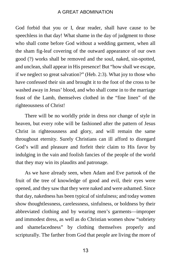God forbid that you or I, dear reader, shall have cause to be speechless in that day! What shame in the day of judgment to those who shall come before God without a wedding garment, when all the sham fig-leaf covering of the outward appearance of our own good (?) works shall be removed and the soul, naked, sin-spotted, and unclean, shall appear in His presence! But "how shall we escape, if we neglect so great salvation?" (Heb. 2:3). What joy to those who have confessed their sin and brought it to the foot of the cross to be washed away in Jesus' blood, and who shall come in to the marriage feast of the Lamb, themselves clothed in the "fine linen" of the righteousness of Christ!

There will be no worldly pride in dress nor change of style in heaven, but every robe will be fashioned after the pattern of Jesus Christ in righteousness and glory, and will remain the same throughout eternity. Surely Christians can ill afford to disregard God's will and pleasure and forfeit their claim to His favor by indulging in the vain and foolish fancies of the people of the world that they may win its plaudits and patronage.

As we have already seen, when Adam and Eve partook of the fruit of the tree of knowledge of good and evil, their eyes were opened, and they saw that they were naked and were ashamed. Since that day, nakedness has been typical of sinfulness; and today women show thoughtlessness, carelessness, sinfulness, or boldness by their abbreviated clothing and by wearing men's garments—improper and immodest dress, as well as do Christian women show "sobriety and shamefacedness" by clothing themselves properly and scripturally. The farther from God that people are living the more of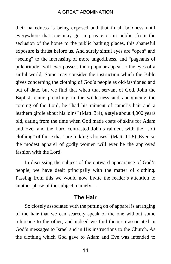their nakedness is being exposed and that in all boldness until everywhere that one may go in private or in public, from the seclusion of the home to the public bathing places, this shameful exposure is thrust before us. And surely sinful eyes are "open" and "seeing" to the increasing of more ungodliness, and "pageants of pulchritude" will ever possess their popular appeal to the eyes of a sinful world. Some may consider the instruction which the Bible gives concerning the clothing of God's people as old-fashioned and out of date, but we find that when that servant of God, John the Baptist, came preaching in the wilderness and announcing the coming of the Lord, he "had his raiment of camel's hair and a leathern girdle about his loins" (Matt. 3:4), a style about 4,000 years old, dating from the time when God made coats of skins for Adam and Eve; and the Lord contrasted John's raiment with the "soft clothing" of those that "are in king's houses" (Matt. 11:8). Even so the modest apparel of godly women will ever be the approved fashion with the Lord.

In discussing the subject of the outward appearance of God's people, we have dealt principally with the matter of clothing. Passing from this we would now invite the reader's attention to another phase of the subject, namely—

#### **The Hair**

So closely associated with the putting on of apparel is arranging of the hair that we can scarcely speak of the one without some reference to the other, and indeed we find them so associated in God's messages to Israel and in His instructions to the Church. As the clothing which God gave to Adam and Eve was intended to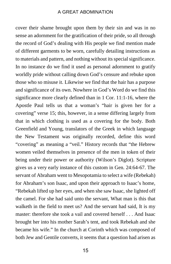cover their shame brought upon them by their sin and was in no sense an adornment for the gratification of their pride, so all through the record of God's dealing with His people we find mention made of different garments to be worn, carefully detailing instructions as to materials and pattern, and nothing without its special significance. In no instance do we find it used as personal adornment to gratify worldly pride without calling down God's censure and rebuke upon those who so misuse it. Likewise we find that the hair has a purpose and significance of its own. Nowhere in God's Word do we find this significance more clearly defined than in 1 Cor. 11:1-16, where the Apostle Paul tells us that a woman's "hair is given her for a covering" verse 15; this, however, in a sense differing largely from that in which clothing is used as a covering for the body. Both Greenfield and Young, translators of the Greek in which language the New Testament was originally recorded, define this word "covering" as meaning a "veil." History records that "the Hebrew women veiled themselves in presence of the men in token of their being under their power or authority (Wilson's Diglot). Scripture gives us a very early instance of this custom in Gen. 24:64-67. The servant of Abraham went to Mesopotamia to select a wife (Rebekah) for Abraham's son Isaac, and upon their approach to Isaac's home, "Rebekah lifted up her eyes, and when she saw Isaac, she lighted off the camel. For she had said unto the servant, What man is this that walketh in the field to meet us? And the servant had said, It is my master: therefore she took a vail and covered herself . . . And Isaac brought her into his mother Sarah's tent, and took Rebekah and she became his wife." In the church at Corinth which was composed of both Jew and Gentile converts, it seems that a question had arisen as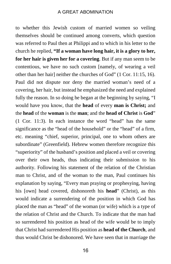to whether this Jewish custom of married women so veiling themselves should be continued among converts, which question was referred to Paul then at Philippi and to which in his letter to the church he replied, **"If a woman have long hair, it is a glory to her, for her hair is given her for a covering**. But if any man seem to be contentious, we have no such custom [namely, of wearing a veil other than her hair] neither the churches of God" (1 Cor. 11:15, 16). Paul did not dispute nor deny the married woman's need of a covering, her hair, but instead he emphasized the need and explained fully the reason. In so doing he began at the beginning by saying, "I would have you know, that the **head** of every **man is Christ;** and the **head** of the **woman** is the **man**; and the **head of Christ** is **God**" (1 Cor. 11:3). In each instance the word "head" has the same significance as the "head of the household" or the "head" of a firm, etc. meaning "chief, superior, principal, one to whom others are subordinate" (Greenfield). Hebrew women therefore recognize this "superiority" of the husband's position and placed a veil or covering over their own heads, thus indicating their submission to his authority. Following his statement of the relation of the Christian man to Christ, and of the woman to the man, Paul continues his explanation by saying, "Every man praying or prophesying, having his [own] head covered, dishonoreth his **head**" (Christ), as this would indicate a surrendering of the position in which God has placed the man as "head" of the woman (or wife) which is a type of the relation of Christ and the Church. To indicate that the man had so surrendered his position as head of the wife would be to imply that Christ had surrendered His position as **head of the Church**, and thus would Christ be dishonored. We have seen that in marriage the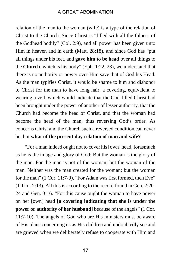relation of the man to the woman (wife) is a type of the relation of Christ to the Church. Since Christ is "filled with all the fulness of the Godhead bodily" (Col. 2:9), and all power has been given unto Him in heaven and in earth (Matt. 28:18), and since God has "put all things under his feet, and **gave him to be head** over all things to the **Church**, which is his body" (Eph. 1:22, 23), we understand that there is no authority or power over Him save that of God his Head. As the man typifies Christ, it would be shame to him and dishonor to Christ for the man to have long hair, a covering, equivalent to wearing a veil, which would indicate that the God-filled Christ had been brought under the power of another of lesser authority, that the Church had become the head of Christ, and that the woman had become the head of the man, thus reversing God's order. As concerns Christ and the Church such a reversed condition can never be, but **what of the present day relation of man and wife?**

"For a man indeed ought not to cover his [own] head, forasmuch as he is the image and glory of God: But the woman is the glory of the man. For the man is not of the woman; but the woman of the man. Neither was the man created for the woman; but the woman for the man" (1 Cor. 11:7-9), "For Adam was first formed, then Eve" (1 Tim. 2:13). All this is according to the record found in Gen. 2:20- 24 and Gen. 3:16. "For this cause ought the woman to have power on her [own] head [**a covering indicating that she is under the power or authority of her husband** because of the angels" (1 Cor. 11:7-10). The angels of God who are His ministers must be aware of His plans concerning us as His children and undoubtedly see and are grieved when we deliberately refuse to cooperate with Him and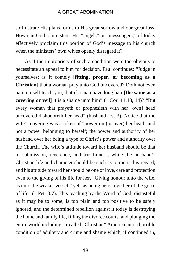so frustrate His plans for us to His great sorrow and our great loss. How can God's ministers, His "angels" or "messengers," of today effectively proclaim this portion of God's message to his church when the ministers' own wives openly disregard it?

As if the impropriety of such a condition were too obvious to necessitate an appeal to him for decision, Paul continues: "Judge in yourselves: is it comely [**fitting, proper, or becoming as a Christian**] that a woman pray unto God uncovered? Doth not even nature itself teach you, that if a man have long hair [**the same as a covering or veil**] it is a shame unto him" (1 Cor. 11:13, 14)? "But every woman that prayeth or prophesieth with her [own] head uncovered dishonoreth her head" (husband—v. 3). Notice that the wife's covering was a token of "power on (or over) her head" and not a power belonging to herself; the power and authority of her husband over her being a type of Christ's power and authority over the Church. The wife's attitude toward her husband should be that of submission, reverence, and trustfulness, while the husband's Christian life and character should be such as to merit this regard; and his attitude toward her should be one of love, care and protection even to the giving of his life for her, "Giving honour unto the wife, as unto the weaker vessel," yet "as being heirs together of the grace of life" (1 Pet. 3:7). This teaching by the Word of God, distasteful as it may be to some, is too plain and too positive to be safely ignored, and the determined rebellion against it today is destroying the home and family life, filling the divorce courts, and plunging the entire world including so-called "Christian" America into a horrible condition of adultery and crime and shame which, if continued in,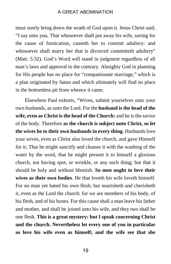must surely bring down the wrath of God upon it. Jesus Christ said, "I say unto you, That whosoever shall put away his wife, saving for the cause of fornication, causeth her to commit adultery: and whosoever shall marry her that is divorced committeth adultery" (Matt. 5:32). God's Word will stand in judgment regardless of all man's laws and approval to the contrary. Almighty God in planning for His people has no place for "companionate marriage," which is a plan originated by Satan and which ultimately will find its place in the bottomless pit from whence it came.

Elsewhere Paul exhorts, "Wives, submit yourselves unto your own husbands, as unto the Lord. For the **husband is the head of the wife, even as Christ is the head of the Church:** and he is the savior of the body. Therefore **as the church is subject unto Christ, so let the wives be to their own husbands in every thing**. Husbands love your wives, even as Christ also loved the church, and gave Himself for it; That he might sanctify and cleanse it with the washing of the water by the word, that he might present it to himself a glorious church, not having spot, or wrinkle, or any such thing; but that it should be holy and without blemish. **So men ought to love their wives as their own bodies**. He that loveth his wife loveth himself. For no man yet hated his own flesh; but nourisheth and cherisheth it, even as the Lord the church: for we are members of his body, of his flesh, and of his bones. For this cause shall a man leave his father and mother, and shall be joined unto his wife, and they two shall be one flesh. **This is a great mystery: but I speak concerning Christ and the church. Nevertheless let every one of you in particular so love his wife even as himself; and the wife see that she**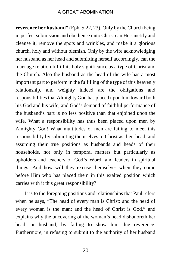**reverence her husband"** (Eph. 5:22, 23). Only by the Church being in perfect submission and obedience unto Christ can He sanctify and cleanse it, remove the spots and wrinkles, and make it a glorious church, holy and without blemish. Only by the wife acknowledging her husband as her head and submitting herself accordingly, can the marriage relation fulfill its holy significance as a type of Christ and the Church. Also the husband as the head of the wife has a most important part to perform in the fulfilling of the type of this heavenly relationship, and weighty indeed are the obligations and responsibilities that Almighty God has placed upon him toward both his God and his wife, and God's demand of faithful performance of the husband's part is no less positive than that enjoined upon the wife. What a responsibility has thus been placed upon men by Almighty God! What multitudes of men are failing to meet this responsibility by submitting themselves to Christ as their head, and assuming their true positions as husbands and heads of their households, not only in temporal matters but particularly as upholders and teachers of God's Word, and leaders in spiritual things! And how will they excuse themselves when they come before Him who has placed them in this exalted position which carries with it this great responsibility?

It is to the foregoing positions and relationships that Paul refers when he says, "The head of every man is Christ: and the head of every woman is the man; and the head of Christ is God," and explains why the uncovering of the woman's head dishonoreth her head, or husband, by failing to show him due reverence. Furthermore, in refusing to submit to the authority of her husband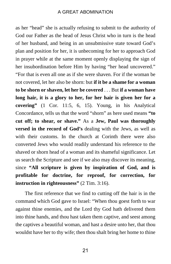as her "head" she is actually refusing to submit to the authority of God our Father as the head of Jesus Christ who in turn is the head of her husband, and being in an unsubmissive state toward God's plan and position for her, it is unbecoming for her to approach God in prayer while at the same moment openly displaying the sign of her insubordination before Him by having "her head uncovered." "For that is even all one as if she were shaven. For if the woman be not covered, let her also be shorn: but **if it be a shame for a woman to be shorn or shaven, let her be covered** . . . But **if a woman have long hair, it is a glory to her, for her hair is given her for a covering"** (1 Cor. 11:5, 6, 15). Young, in his Analytical Concordance, tells us that the word "shorn" as here used means **"to cut off; to shear, or shave."** As a **Jew, Paul was thoroughly versed in the record of God's** dealing with the Jews, as well as with their customs. In the church at Corinth there were also converted Jews who would readily understand his reference to the shaved or shorn head of a woman and its shameful significance. Let us search the Scripture and see if we also may discover its meaning, since **"All scripture is given by inspiration of God, and is profitable for doctrine, for reproof, for correction, for instruction in righteousness"** (2 Tim. 3:16).

The first reference that we find to cutting off the hair is in the command which God gave to Israel: "When thou goest forth to war against thine enemies, and the Lord thy God hath delivered them into thine hands, and thou hast taken them captive, and seest among the captives a beautiful woman, and hast a desire unto her, that thou wouldst have her to thy wife; then thou shalt bring her home to thine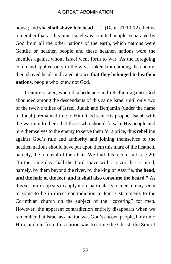house; and **she shall shave her head** . . ." (Deut. 21:10-12). Let us remember that at this time Israel was a united people, separated by God from all the other nations of the earth, which nations were Gentile or heathen people and these heathen nations were the enemies against whom Israel went forth to war. As the foregoing command applied only to the wives taken from among the enemy, their shaved heads indicated at once **that they belonged to heathen nations**, people who knew not God.

Centuries later, when disobedience and rebellion against God abounded among the descendants of this same Israel until only two of the twelve tribes of Israel, Judah and Benjamin (under the name of Judah), remained true to Him, God sent His prophet Isaiah with the warning to them that those who should forsake His people and hire themselves to the enemy to serve them for a price, thus rebelling against God's rule and authority and joining themselves to the heathen nations should have put upon them this mark of the heathen, namely, the removal of their hair. We find this record in Isa. 7:20: "In the same day shall the Lord shave with a razor that is hired, namely, by them beyond the river, by the king of Assyria, **the head, and the hair of the feet, and it shall also consume the beard."** As this scripture appears to apply more particularly to men, it may seem to some to be in direct contradiction to Paul's statements to the Corinthian church on the subject of the "covering" for men. However, the apparent contradiction entirely disappears when we remember that Israel as a nation was God's chosen people, holy unto Him, and out from this nation was to come the Christ, the Son of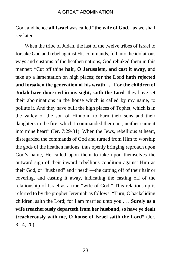God, and hence **all Israel** was called "**the wife of God**," as we shall see later.

When the tribe of Judah, the last of the twelve tribes of Israel to forsake God and rebel against His commands, fell into the idolatrous ways and customs of the heathen nations, God rebuked them in this manner: "Cut off thine **hair, O Jerusalem, and cast it away**, and take up a lamentation on high places; **for the Lord hath rejected and forsaken the generation of his wrath . . . For the children of Judah have done evil in my sight, saith the Lord**: they have set their abominations in the house which is called by my name, to pollute it. And they have built the high places of Tophet, which is in the valley of the son of Hinnom, to burn their sons and their daughters in the fire; which I commanded them not, neither came it into mine heart" (Jer. 7:29-31). When the Jews, rebellious at heart, disregarded the commands of God and turned from Him to worship the gods of the heathen nations, thus openly bringing reproach upon God's name, He called upon them to take upon themselves the outward sign of their inward rebellious condition against Him as their God, or "husband" and "head"—the cutting off of their hair or covering, and casting it away, indicating the casting off of the relationship of Israel as a true "wife of God." This relationship is referred to by the prophet Jeremiah as follows: "Turn, O backsliding children, saith the Lord; for I am married unto you . . . **Surely as a wife treacherously departeth from her husband, so have ye dealt treacherously with me, O house of Israel saith the Lord"** (Jer. 3:14, 20).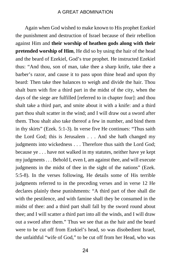Again when God wished to make known to His prophet Ezekiel the punishment and destruction of Israel because of their rebellion against Him and **their worship of heathen gods along with their pretended worship of Him**, He did so by using the hair of the head and the beard of Ezekiel, God's true prophet. He instructed Ezekiel thus: "And thou, son of man, take thee a sharp knife, take thee a barber's razor, and cause it to pass upon thine head and upon thy beard: Then take thee balances to weigh and divide the hair. Thou shalt burn with fire a third part in the midst of the city, when the days of the siege are fulfilled [referred to in chapter four]: and thou shalt take a third part, and smite about it with a knife: and a third part thou shalt scatter in the wind; and I will draw out a sword after them. Thou shalt also take thereof a few in number, and bind them in thy skirts" (Ezek. 5:1-3). In verse five He continues: "Thus saith the Lord God; this is Jerusalem . . . And she hath changed my judgments into wickedness . . . Therefore thus saith the Lord God; because ye . . . have not walked in my statutes, neither have ye kept my judgments . . . Behold I, even I, am against thee, and will execute judgments in the midst of thee in the sight of the nations" (Ezek. 5:5-8). In the verses following, He details some of His terrible judgments referred to in the preceding verses and in verse 12 He declares plainly these punishments: "A third part of thee shall die with the pestilence, and with famine shall they be consumed in the midst of thee: and a third part shall fall by the sword round about thee; and I will scatter a third part into all the winds, and I will draw out a sword after them." Thus we see that as the hair and the beard were to be cut off from Ezekiel's head, so was disobedient Israel, the unfaithful "wife of God," to be cut off from her Head, who was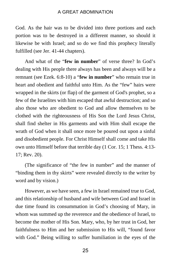God. As the hair was to be divided into three portions and each portion was to be destroyed in a different manner, so should it likewise be with Israel; and so do we find this prophecy literally fulfilled (see Jer. 41-44 chapters).

And what of the "**few in number**" of verse three? In God's dealing with His people there always has been and always will be a remnant (see Ezek. 6:8-10) a "**few in number**" who remain true in heart and obedient and faithful unto Him. As the "few" hairs were wrapped in the skirts (or flap) of the garment of God's prophet, so a few of the Israelites with him escaped that awful destruction; and so also those who are obedient to God and allow themselves to be clothed with the righteousness of His Son the Lord Jesus Christ, shall find shelter in His garments and with Him shall escape the wrath of God when it shall once more be poured out upon a sinful and disobedient people. For Christ Himself shall come and take His own unto Himself before that terrible day (1 Cor. 15; 1 Thess. 4:13- 17; Rev. 20).

(The significance of "the few in number" and the manner of "binding them in thy skirts" were revealed directly to the writer by word and by vision.)

However, as we have seen, a few in Israel remained true to God, and this relationship of husband and wife between God and Israel in due time found its consummation in God's choosing of Mary, in whom was summed up the reverence and the obedience of Israel, to become the mother of His Son. Mary, who, by her trust in God, her faithfulness to Him and her submission to His will, "found favor with God." Being willing to suffer humiliation in the eyes of the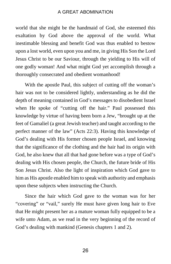world that she might be the handmaid of God, she esteemed this exaltation by God above the approval of the world. What inestimable blessing and benefit God was thus enabled to bestow upon a lost world, even upon you and me, in giving His Son the Lord Jesus Christ to be our Saviour, through the yielding to His will of one godly woman! And what might God yet accomplish through a thoroughly consecrated and obedient womanhood!

With the apostle Paul, this subject of cutting off the woman's hair was not to be considered lightly, understanding as he did the depth of meaning contained in God's messages to disobedient Israel when He spoke of "cutting off the hair." Paul possessed this knowledge by virtue of having been born a Jew, "brought up at the feet of Gamaliel (a great Jewish teacher) and taught according to the perfect manner of the law" (Acts 22:3). Having this knowledge of God's dealing with His former chosen people Israel, and knowing that the significance of the clothing and the hair had its origin with God, he also knew that all that had gone before was a type of God's dealing with His chosen people, the Church, the future bride of His Son Jesus Christ. Also the light of inspiration which God gave to him as His apostle enabled him to speak with authority and emphasis upon these subjects when instructing the Church.

Since the hair which God gave to the woman was for her "covering" or "vail," surely He must have given long hair to Eve that He might present her as a mature woman fully equipped to be a wife unto Adam, as we read in the very beginning of the record of God's dealing with mankind (Genesis chapters 1 and 2).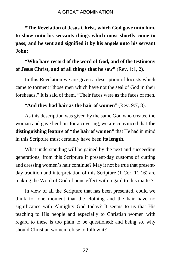**"The Revelation of Jesus Christ, which God gave unto him, to show unto his servants things which must shortly come to pass; and he sent and signified it by his angels unto his servant John:**

### **"Who bare record of the word of God, and of the testimony of Jesus Christ, and of all things that he saw"** (Rev. 1:1, 2).

 In this Revelation we are given a description of locusts which came to torment "those men which have not the seal of God in their foreheads." It is said of them, "Their faces were as the faces of men.

#### "**And they had hair as the hair of women**" (Rev. 9:7, 8).

As this description was given by the same God who created the woman and gave her hair for a covering, we are convinced that **the distinguishing feature of "the hair of women"** that He had in mind in this Scripture must certainly have been **its length**.

What understanding will be gained by the next and succeeding generations, from this Scripture if present-day customs of cutting and dressing women's hair continue? May it not be true that presentday tradition and interpretation of this Scripture (1 Cor. 11:16) are making the Word of God of none effect with regard to this matter?

In view of all the Scripture that has been presented, could we think for one moment that the clothing and the hair have no significance with Almighty God today? It seems to us that His teaching to His people and especially to Christian women with regard to these is too plain to be questioned: and being so, why should Christian women refuse to follow it?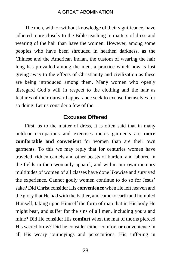The men, with or without knowledge of their significance, have adhered more closely to the Bible teaching in matters of dress and wearing of the hair than have the women. However, among some peoples who have been shrouded in heathen darkness, as the Chinese and the American Indian, the custom of wearing the hair long has prevailed among the men, a practice which now is fast giving away to the effects of Christianity and civilization as these are being introduced among them. Many women who openly disregard God's will in respect to the clothing and the hair as features of their outward appearance seek to excuse themselves for so doing. Let us consider a few of the—

#### **Excuses Offered**

First, as to the matter of dress, it is often said that in many outdoor occupations and exercises men's garments are **more comfortable and convenient** for women than are their own garments. To this we may reply that for centuries women have traveled, ridden camels and other beasts of burden, and labored in the fields in their womanly apparel, and within our own memory multitudes of women of all classes have done likewise and survived the experience. Cannot godly women continue to do so for Jesus' sake? Did Christ consider His **convenience** when He left heaven and the glory that He had with the Father, and came to earth and humbled Himself, taking upon Himself the form of man that in His body He might bear, and suffer for the sins of all men, including yours and mine? Did He consider His **comfort** when the mat of thorns pierced His sacred brow? Did he consider either comfort or convenience in all His weary journeyings and persecutions, His suffering in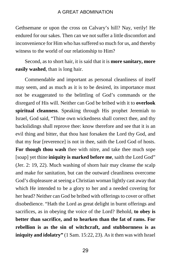Gethsemane or upon the cross on Calvary's hill? Nay, verily! He endured for our sakes. Then can we not suffer a little discomfort and inconvenience for Him who has suffered so much for us, and thereby witness to the world of our relationship to Him?

Second, as to short hair, it is said that it is **more sanitary, more easily washed**, than is long hair.

Commendable and important as personal cleanliness of itself may seem, and as much as it is to be desired, its importance must not be exaggerated to the belittling of God's commands or the disregard of His will. Neither can God be bribed with it to **overlook spiritual cleanness**. Speaking through His prophet Jeremiah to Israel, God said, "Thine own wickedness shall correct thee, and thy backslidings shall reprove thee: know therefore and see that it is an evil thing and bitter, that thou hast forsaken the Lord thy God, and that my fear [reverence] is not in thee, saith the Lord God of hosts. **For though thou wash** thee with nitre, and take thee much sope [soap] yet thine **iniquity is marked before me**, saith the Lord God" (Jer. 2: 19, 22). Much washing of shorn hair may cleanse the scalp and make for sanitation, but can the outward cleanliness overcome God's displeasure at seeing a Christian woman lightly cast away that which He intended to be a glory to her and a needed covering for her head? Neither can God be bribed with offerings to cover or offset disobedience. "Hath the Lord as great delight in burnt offerings and sacrifices, as in obeying the voice of the Lord? Behold, **to obey is better than sacrifice, and to hearken than the fat of rams. For rebellion is as the sin of witchcraft, and stubbornness is as iniquity and idolatry"** (1 Sam. 15:22, 23). As it then was with Israel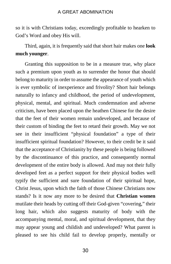so it is with Christians today, exceedingly profitable to hearken to God's Word and obey His will.

Third, again, it is frequently said that short hair makes one **look much younger**.

Granting this supposition to be in a measure true, why place such a premium upon youth as to surrender the honor that should belong to maturity in order to assume the appearance of youth which is ever symbolic of inexperience and frivolity? Short hair belongs naturally to infancy and childhood, the period of undevelopment, physical, mental, and spiritual. Much condemnation and adverse criticism, have been placed upon the heathen Chinese for the desire that the feet of their women remain undeveloped, and because of their custom of binding the feet to retard their growth. May we not see in their insufficient "physical foundation" a type of their insufficient spiritual foundation? However, to their credit be it said that the acceptance of Christianity by these people is being followed by the discontinuance of this practice, and consequently normal development of the entire body is allowed. And may not their fully developed feet as a perfect support for their physical bodies well typify the sufficient and sure foundation of their spiritual hope, Christ Jesus, upon which the faith of those Chinese Christians now stands? Is it now any more to be desired that **Christian women** mutilate their heads by cutting off their God-given "covering," their long hair, which also suggests maturity of body with the accompanying mental, moral, and spiritual development, that they may appear young and childish and undeveloped? What parent is pleased to see his child fail to develop properly, mentally or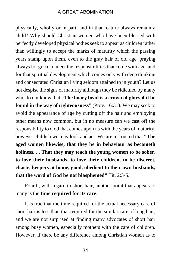physically, wholly or in part, and in that feature always remain a child? Why should Christian women who have been blessed with perfectly developed physical bodies seek to appear as children rather than willingly to accept the marks of maturity which the passing years stamp upon them, even to the gray hair of old age, praying always for grace to meet the responsibilities that come with age, and for that spiritual development which comes only with deep thinking and consecrated Christian living seldom attained to in youth? Let us not despise the signs of maturity although they be ridiculed by many who do not know that **"The hoary head is a crown of glory if it be found in the way of righteousness"** (Prov. 16:31). We may seek to avoid the appearance of age by cutting off the hair and employing other means now common, but in no measure can we cast off the responsibility to God that comes upon us with the years of maturity, however childish we may look and act. We are instructed that **"The aged women likewise, that they be in behaviour as becometh holiness. . . That they may teach the young women to be sober, to love their husbands, to love their children, to be discreet, chaste, keepers at home, good, obedient to their own husbands, that the word of God be not blasphemed"** Tit. 2:3-5.

Fourth, with regard to short hair, another point that appeals to many is the **time required for its care**.

It is true that the time required for the actual necessary care of short hair is less than that required for the similar care of long hair, and we are not surprised at finding many advocates of short hair among busy women, especially mothers with the care of children. However, if there be any difference among Christian women as to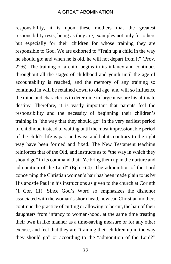responsibility, it is upon these mothers that the greatest responsibility rests, being as they are, examples not only for others but especially for their children for whose training they are responsible to God. We are exhorted to "Train up a child in the way he should go: and when he is old, he will not depart from it" (Prov. 22:6). The training of a child begins in its infancy and continues throughout all the stages of childhood and youth until the age of accountability is reached, and the memory of any training so continued in will be retained down to old age, and will so influence the mind and character as to determine in large measure his ultimate destiny. Therefore, it is vastly important that parents feel the responsibility and the necessity of beginning their children's training in "the way that they should go" in the very earliest period of childhood instead of waiting until the most impressionable period of the child's life is past and ways and habits contrary to the right way have been formed and fixed. The New Testament teaching reinforces that of the Old, and instructs as to "the way in which they should go" in its command that "Ye bring them up in the nurture and admonition of the Lord" (Eph. 6:4). The admonition of the Lord concerning the Christian woman's hair has been made plain to us by His apostle Paul in his instructions as given to the church at Corinth (1 Cor. 11). Since God's Word so emphasizes the dishonor associated with the woman's shorn head, how can Christian mothers continue the practice of cutting or allowing to be cut, the hair of their daughters from infancy to woman-hood, at the same time treating their own in like manner as a time-saving measure or for any other excuse, and feel that they are "training their children up in the way they should go" or according to the "admonition of the Lord?"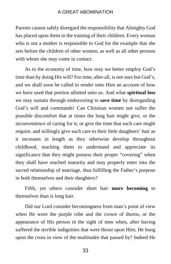Parents cannot safely disregard the responsibility that Almighty God has placed upon them in the training of their children. Every woman who is not a mother is responsible to God for the example that she sets before the children of other women, as well as all other persons with whom she may come in contact.

As to the economy of time, how may we better employ God's time than by doing His will? For time, after all, is not ours but God's, and we shall soon be called to render unto Him an account of how we have used that portion allotted unto us. And what **spiritual loss** we may sustain through endeavoring to **save time** by disregarding God's will and commands! Can Christian women not suffer the possible discomfort that at times the long hair might give, or the inconvenience of caring for it, or give the time that such care might require, and willingly give such care to their little daughters' hair as it increases in length as they otherwise develop throughout childhood, teaching them to understand and appreciate its significance that they might possess their proper "covering" when they shall have reached maturity and may properly enter into the sacred relationship of marriage, thus fulfilling the Father's purpose in both themselves and their daughters?

Fifth, yet others consider short hair **more becoming** to themselves than is long hair.

Did our Lord consider becomingness from man's point of view when He wore the purple robe and the crown of thorns, or the appearance of His person in the sight of men when, after having suffered the terrible indignities that were thrust upon Him, He hung upon the cross in view of the multitudes that passed by? Indeed He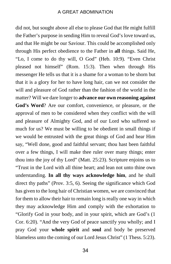did not, but sought above all else to please God that He might fulfill the Father's purpose in sending Him to reveal God's love toward us, and that He might be our Saviour. This could be accomplished only through His perfect obedience to the Father in **all** things. Said He, "Lo, I come to do thy will, O God" (Heb. 10:9). "Even Christ pleased not himself" (Rom. 15:3). Then when through His messenger He tells us that it is a shame for a woman to be shorn but that it is a glory for her to have long hair, can we not consider the will and pleasure of God rather than the fashion of the world in the matter? Will we dare longer to **advance our own reasoning against God's Word**? Are our comfort, convenience, or pleasure, or the approval of men to be considered when they conflict with the will and pleasure of Almighty God, and of our Lord who suffered so much for us? We must be willing to be obedient in small things if we would be entrusted with the great things of God and hear Him say, "Well done, good and faithful servant; thou hast been faithful over a few things, I will make thee ruler over many things; enter thou into the joy of thy Lord" (Matt. 25:23). Scripture enjoins us to "Trust in the Lord with all thine heart; and lean not unto thine own understanding. **In all thy ways acknowledge him**, and he shall direct thy paths" (Prov. 3:5, 6). Seeing the significance which God has given to the long hair of Christian women, we are convinced that for them to allow their hair to remain long is really one way in which they may acknowledge Him and comply with the exhortation to "Glorify God in your body, and in your spirit, which are God's (1 Cor. 6:20). "And the very God of peace sanctify you wholly; and I pray God your **whole spirit** and **soul** and body be preserved blameless unto the coming of our Lord Jesus Christ" (1 Thess. 5:23).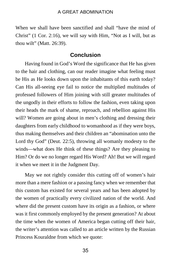When we shall have been sanctified and shall "have the mind of Christ" (1 Cor. 2:16), we will say with Him, "Not as I will, but as thou wilt" (Matt. 26:39).

#### **Conclusion**

Having found in God's Word the significance that He has given to the hair and clothing, can our reader imagine what feeling must be His as He looks down upon the inhabitants of this earth today? Can His all-seeing eye fail to notice the multiplied multitudes of professed followers of Him joining with still greater multitudes of the ungodly in their efforts to follow the fashion, even taking upon their heads the mark of shame, reproach, and rebellion against His will? Women are going about in men's clothing and dressing their daughters from early childhood to womanhood as if they were boys, thus making themselves and their children an "abomination unto the Lord thy God" (Deut. 22:5), throwing all womanly modesty to the winds—what does He think of these things? Are they pleasing to Him? Or do we no longer regard His Word? Ah! But we will regard it when we meet it in the Judgment Day.

May we not rightly consider this cutting off of women's hair more than a mere fashion or a passing fancy when we remember that this custom has existed for several years and has been adopted by the women of practically every civilized nation of the world. And where did the present custom have its origin as a fashion, or where was it first commonly employed by the present generation? At about the time when the women of America began cutting off their hair, the writer's attention was called to an article written by the Russian Princess Kouraldne from which we quote: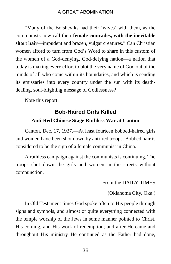"Many of the Bolsheviks had their 'wives' with them, as the communists now call their **female comrades, with the inevitable short hair**—impudent and brazen, vulgar creatures." Can Christian women afford to turn from God's Word to share in this custom of the women of a God-denying, God-defying nation—a nation that today is making every effort to blot the very name of God out of the minds of all who come within its boundaries, and which is sending its emissaries into every country under the sun with its deathdealing, soul-blighting message of Godlessness?

Note this report:

## **Bob-Haired Girls Killed Anti-Red Chinese Stage Ruthless War at Canton**

Canton, Dec. 17, 1927.—At least fourteen bobbed-haired girls and women have been shot down by anti-red troops. Bobbed hair is considered to be the sign of a female communist in China.

A ruthless campaign against the communists is continuing. The troops shot down the girls and women in the streets without compunction.

—From the DAILY TIMES

(Oklahoma City, Oka.)

In Old Testament times God spoke often to His people through signs and symbols, and almost or quite everything connected with the temple worship of the Jews in some manner pointed to Christ, His coming, and His work of redemption; and after He came and throughout His ministry He continued as the Father had done,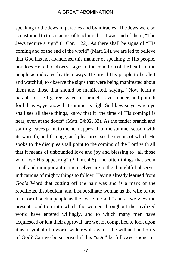speaking to the Jews in parables and by miracles. The Jews were so accustomed to this manner of teaching that it was said of them, "The Jews require a sign" (1 Cor. 1:22). As there shall be signs of "His coming and of the end of the world" (Matt. 24), we are led to believe that God has not abandoned this manner of speaking to His people, nor does He fail to observe signs of the condition of the hearts of the people as indicated by their ways. He urged His people to be alert and watchful, to observe the signs that were being manifested about them and those that should be manifested, saying, "Now learn a parable of the fig tree; when his branch is yet tender, and putteth forth leaves, ye know that summer is nigh: So likewise ye, when ye shall see all these things, know that it [the time of His coming] is near, even at the doors" (Matt. 24:32, 33). As the tender branch and starting leaves point to the near approach of the summer season with its warmth, and fruitage, and pleasures, so the events of which He spoke to the disciples shall point to the coming of the Lord with all that it means of unbounded love and joy and blessing to "all those who love His appearing" (2 Tim. 4:8); and often things that seem small and unimportant in themselves are to the thoughtful observer indications of mighty things to follow. Having already learned from God's Word that cutting off the hair was and is a mark of the rebellious, disobedient, and insubordinate woman as the wife of the man, or of such a people as the "wife of God," and as we view the present condition into which the women throughout the civilized world have entered willingly, and to which many men have acquiesced or lent their approval, are we not compelled to look upon it as a symbol of a world-wide revolt against the will and authority of God? Can we be surprised if this "sign" be followed sooner or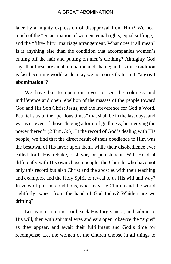later by a mighty expression of disapproval from Him? We hear much of the "emancipation of women, equal rights, equal suffrage," and the "fifty- fifty" marriage arrangement. What does it all mean? Is it anything else than the condition that accompanies women's cutting off the hair and putting on men's clothing? Almighty God says that these are an abomination and shame; and as this condition is fast becoming world-wide, may we not correctly term it, "**a great abomination**"?

We have but to open our eyes to see the coldness and indifference and open rebellion of the masses of the people toward God and His Son Christ Jesus, and the irreverence for God's Word. Paul tells us of the "perilous times" that shall be in the last days, and warns us even of those "having a form of godliness, but denying the power thereof" (2 Tim. 3:5). In the record of God's dealing with His people, we find that the direct result of their obedience to Him was the bestowal of His favor upon them, while their disobedience ever called forth His rebuke, disfavor, or punishment. Will He deal differently with His own chosen people, the Church, who have not only this record but also Christ and the apostles with their teaching and examples, and the Holy Spirit to reveal to us His will and way? In view of present conditions, what may the Church and the world rightfully expect from the hand of God today? Whither are we drifting?

Let us return to the Lord, seek His forgiveness, and submit to His will, then with spiritual eyes and ears open, observe the "signs" as they appear, and await their fulfillment and God's time for recompense. Let the women of the Church choose in **all** things to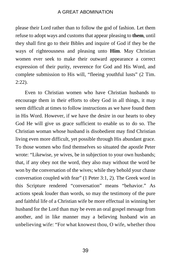please their Lord rather than to follow the god of fashion. Let them refuse to adopt ways and customs that appear pleasing to **them**, until they shall first go to their Bibles and inquire of God if they be the ways of righteousness and pleasing unto **Him**. May Christian women ever seek to make their outward appearance a correct expression of their purity, reverence for God and His Word, and complete submission to His will, "fleeing youthful lusts" (2 Tim. 2:22).

Even to Christian women who have Christian husbands to encourage them in their efforts to obey God in all things, it may seem difficult at times to follow instructions as we have found them in His Word. However, if we have the desire in our hearts to obey God He will give us grace sufficient to enable us to do so. The Christian woman whose husband is disobedient may find Christian living even more difficult, yet possible through His abundant grace. To those women who find themselves so situated the apostle Peter wrote: "Likewise, ye wives, be in subjection to your own husbands; that, if any obey not the word, they also may without the word be won by the conversation of the wives; while they behold your chaste conversation coupled with fear" (1 Peter 3:1, 2). The Greek word in this Scripture rendered "conversation" means "behavior." As actions speak louder than words, so may the testimony of the pure and faithful life of a Christian wife be more effectual in winning her husband for the Lord than may be even an oral gospel message from another, and in like manner may a believing husband win an unbelieving wife: "For what knowest thou, O wife, whether thou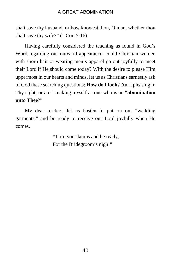shalt save thy husband, or how knowest thou, O man, whether thou shalt save thy wife?" (1 Cor. 7:16).

Having carefully considered the teaching as found in God's Word regarding our outward appearance, could Christian women with shorn hair or wearing men's apparel go out joyfully to meet their Lord if He should come today? With the desire to please Him uppermost in our hearts and minds, let us as Christians earnestly ask of God these searching questions: **How do I look**? Am I pleasing in Thy sight, or am I making myself as one who is an "**abomination unto Thee**?"

My dear readers, let us hasten to put on our "wedding garments," and be ready to receive our Lord joyfully when He comes.

> "Trim your lamps and be ready, For the Bridegroom's nigh!"